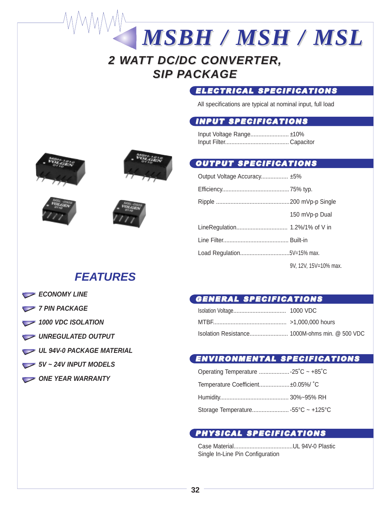# **2 WATT DC/DC CONVERTER, SIP PACKAGE**

## ELECTRICAL SPECIFICATIONS

All specifications are typical at nominal input, full load

### INPUT SPECIFICATIONS

Input Voltage Range........................ ±10% Input Filter........................................ Capacitor

*MSBH / MSH / MSL MSH / MSL*

## OUTPUT SPECIFICATIONS

| Output Voltage Accuracy ±5% |                       |
|-----------------------------|-----------------------|
|                             |                       |
|                             |                       |
|                             | 150 mVp-p Dual        |
|                             |                       |
|                             |                       |
|                             |                       |
|                             | 9V, 12V, 15V=10% max. |

## GENERAL SPECIFICATIONS

### ENVIRONMENTAL SPECIFICATIONS

| Temperature Coefficient ±0.05%/ °C |  |
|------------------------------------|--|
|                                    |  |
|                                    |  |

## PHYSICAL SPECIFICATIONS

Case Material.....................................UL 94V-0 Plastic Single In-Line Pin Configuration







# **FEATURES**

- **ECONOMY LINE**
- *7 PIN PACKAGE*
- 1000 VDC ISOLATION
- UNREGULATED OUTPUT
- **UL 94V-0 PACKAGE MATERIAL**
- **5V ~ 24V INPUT MODELS**
- ONE YEAR WARRANTY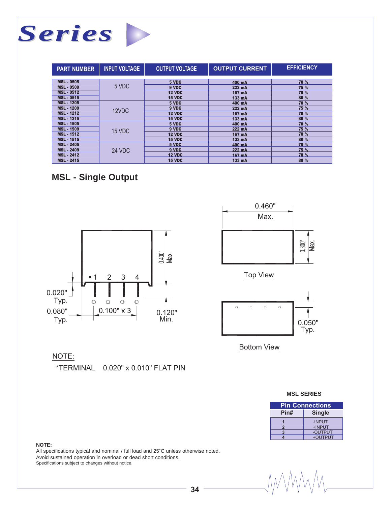

| <b>PART NUMBER</b> | <b>INPUT VOLTAGE</b> | <b>OUTPUT VOLTAGE</b> | <b>OUTPUT CURRENT</b> | <b>EFFICIENCY</b> |
|--------------------|----------------------|-----------------------|-----------------------|-------------------|
|                    |                      |                       |                       |                   |
| <b>MSL - 0505</b>  |                      | 5 VDC                 | 400 mA                | 70 %              |
| <b>MSL - 0509</b>  | 5 VDC                | 9 VDC                 | 222 mA                | 75 %              |
| <b>MSL - 0512</b>  |                      | <b>12 VDC</b>         | 167 mA                | 78 %              |
| <b>MSL - 0515</b>  |                      | <b>15 VDC</b>         | 133 mA                | 80 %              |
| <b>MSL - 1205</b>  |                      | 5 VDC                 | 400 mA                | 70 %              |
| <b>MSL - 1209</b>  | 12VDC                | 9 VDC                 | 222 mA                | 75 %              |
| <b>MSL - 1212</b>  |                      | <b>12 VDC</b>         | 167 mA                | 78 %              |
| <b>MSL - 1215</b>  |                      | <b>15 VDC</b>         | 133 mA                | 80 %              |
| <b>MSL - 1505</b>  |                      | 5 VDC                 | 400 mA                | 70 %              |
| <b>MSL - 1509</b>  | 15 VDC               | 9 VDC                 | 222 mA                | 75 %              |
| <b>MSL - 1512</b>  |                      | <b>12 VDC</b>         | 167 mA                | 78 %              |
| <b>MSL - 1515</b>  |                      | <b>15 VDC</b>         | 133 mA                | 80 %              |
| <b>MSL - 2405</b>  |                      | 5 VDC                 | 400 mA                | <b>70%</b>        |
| <b>MSL - 2409</b>  | <b>24 VDC</b>        | 9 VDC                 | 222 mA                | 75 %              |
| <b>MSL - 2412</b>  |                      | <b>12 VDC</b>         | 167 mA                | 78 %              |
| <b>MSL - 2415</b>  |                      | <b>15 VDC</b>         | 133 mA                | 80 %              |

## **MSL - Single Output**





Bottom View

### NOTE:

\*TERMINAL 0.020" x 0.010" FLAT PIN

#### **MSL SERIES**

| <b>Pin Connections</b> |         |  |
|------------------------|---------|--|
| Pin#<br><b>Single</b>  |         |  |
|                        | -INPUT  |  |
|                        | +INPUT  |  |
|                        | -OUTPUT |  |
|                        | +OUTPUT |  |

#### **NOTE:**

All specifications typical and nominal / full load and 25˚C unless otherwise noted. Avoid sustained operation in overload or dead short conditions. Specifications subject to changes without notice.